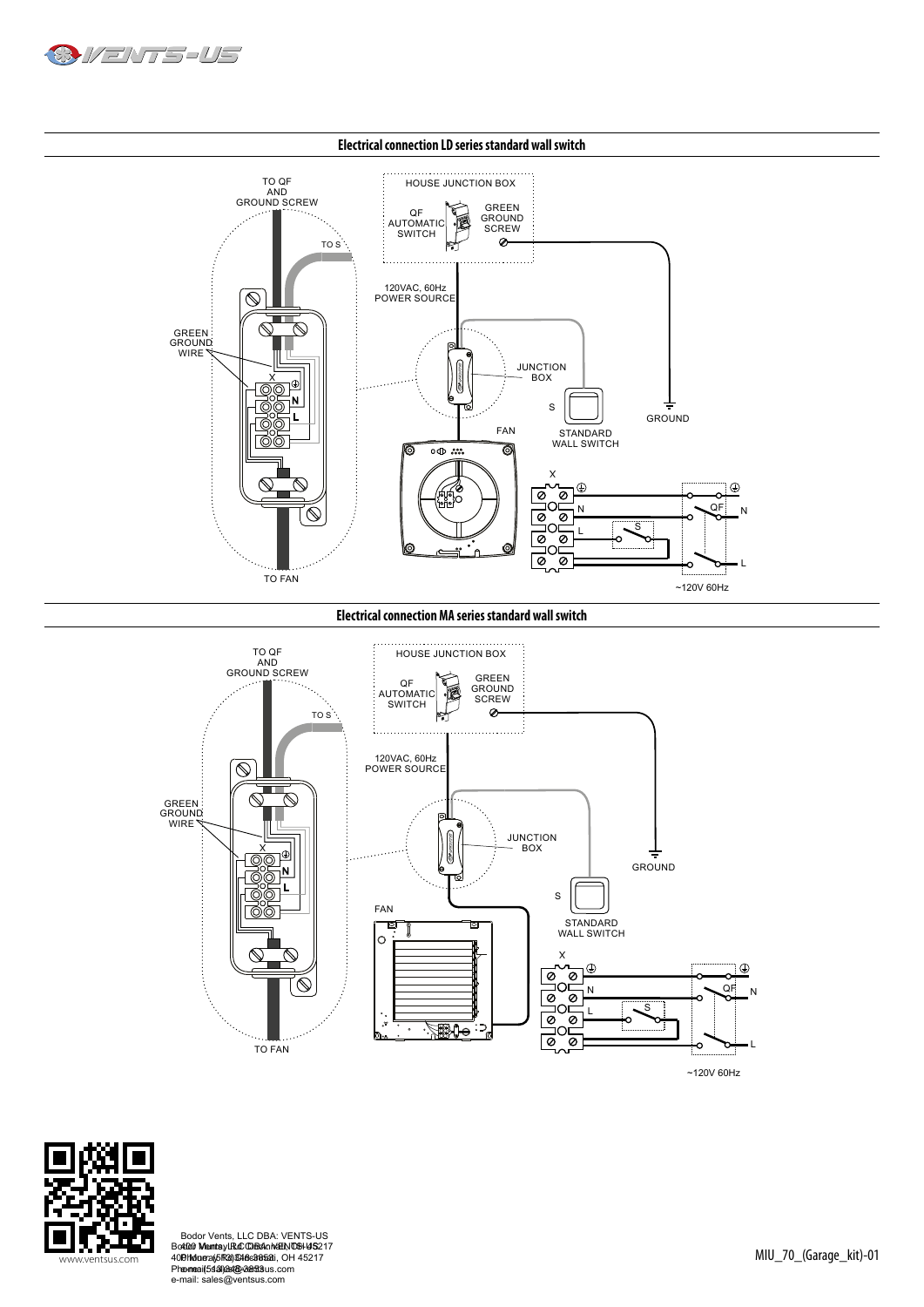



**Electrical connection MA series standard wall switch**





www.ventsus.com MIU\_70\_(Garage\_kit)-01 Bodor Vents, LLC DBA: VENTS-US 400 Murray Rd Cincinnati, OH 45217 Phone: (513)348-3853 e-mail: sales@ventsus.com Bodor Vents, LLC DBA: VENTS-US<br>4000 MentayLR&006&nMatN006H45217<br>19hMdra(6R3)\$46c885a1i, OH 45217<br>ലന്ദ്രേ[5343]&4@v2entSus.com